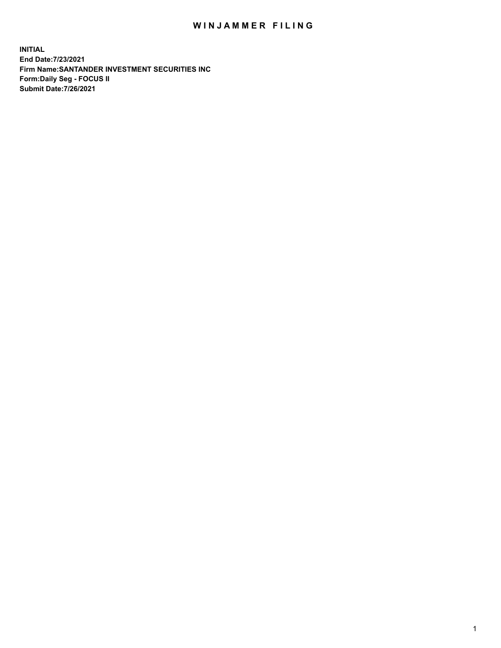## WIN JAMMER FILING

**INITIAL End Date:7/23/2021 Firm Name:SANTANDER INVESTMENT SECURITIES INC Form:Daily Seg - FOCUS II Submit Date:7/26/2021**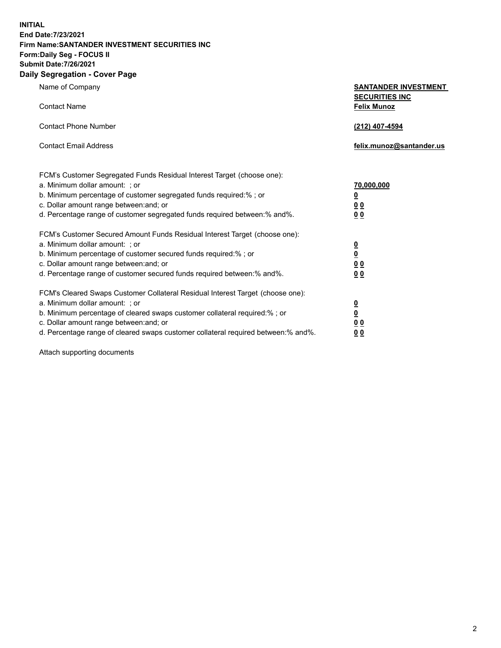**INITIAL End Date:7/23/2021 Firm Name:SANTANDER INVESTMENT SECURITIES INC Form:Daily Seg - FOCUS II Submit Date:7/26/2021 Daily Segregation - Cover Page**

| Name of Company |  |
|-----------------|--|
|-----------------|--|

| Name of Company                                                                | <b>SANTANDER INVESTMENT</b>                 |
|--------------------------------------------------------------------------------|---------------------------------------------|
| <b>Contact Name</b>                                                            | <b>SECURITIES INC</b><br><b>Felix Munoz</b> |
| <b>Contact Phone Number</b>                                                    | (212) 407-4594                              |
| <b>Contact Email Address</b>                                                   | felix.munoz@santander.us                    |
| FCM's Customer Segregated Funds Residual Interest Target (choose one):         |                                             |
| a. Minimum dollar amount: ; or                                                 | 70,000,000                                  |
| b. Minimum percentage of customer segregated funds required:% ; or             | <u>0</u>                                    |
| c. Dollar amount range between: and; or                                        | 0 <sub>0</sub>                              |
| d. Percentage range of customer segregated funds required between:% and%.      | 0 <sub>0</sub>                              |
| FCM's Customer Secured Amount Funds Residual Interest Target (choose one):     |                                             |
| a. Minimum dollar amount: ; or                                                 | <u>0</u>                                    |
| b. Minimum percentage of customer secured funds required:%; or                 | $\underline{\mathbf{0}}$                    |
| c. Dollar amount range between: and; or                                        | 0 <sub>0</sub>                              |
| d. Percentage range of customer secured funds required between:% and%.         | 0 <sub>0</sub>                              |
| FCM's Cleared Swaps Customer Collateral Residual Interest Target (choose one): |                                             |
| a. Minimum dollar amount: ; or                                                 | <u>0</u>                                    |
|                                                                                |                                             |

b. Minimum percentage of cleared swaps customer collateral required:% ; or **0** c. Dollar amount range between:and; or **0 0** d. Percentage range of cleared swaps customer collateral required between:% and%. **0 0**

Attach supporting documents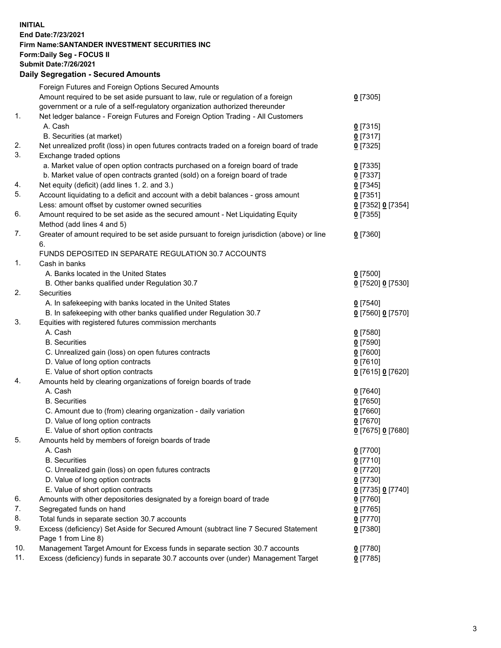**INITIAL End Date:7/23/2021 Firm Name:SANTANDER INVESTMENT SECURITIES INC Form:Daily Seg - FOCUS II Submit Date:7/26/2021 Daily Segregation - Secured Amounts**

|          | Foreign Futures and Foreign Options Secured Amounts                                         |                     |
|----------|---------------------------------------------------------------------------------------------|---------------------|
|          | Amount required to be set aside pursuant to law, rule or regulation of a foreign            | $0$ [7305]          |
|          | government or a rule of a self-regulatory organization authorized thereunder                |                     |
| 1.       | Net ledger balance - Foreign Futures and Foreign Option Trading - All Customers             |                     |
|          | A. Cash                                                                                     | $0$ [7315]          |
|          | B. Securities (at market)                                                                   | $0$ [7317]          |
| 2.       | Net unrealized profit (loss) in open futures contracts traded on a foreign board of trade   | $0$ [7325]          |
| 3.       | Exchange traded options                                                                     |                     |
|          | a. Market value of open option contracts purchased on a foreign board of trade              | $0$ [7335]          |
|          | b. Market value of open contracts granted (sold) on a foreign board of trade                | $0$ [7337]          |
| 4.       | Net equity (deficit) (add lines 1. 2. and 3.)                                               | $0$ [7345]          |
| 5.       | Account liquidating to a deficit and account with a debit balances - gross amount           | $0$ [7351]          |
|          | Less: amount offset by customer owned securities                                            | 0 [7352] 0 [7354]   |
| 6.       | Amount required to be set aside as the secured amount - Net Liquidating Equity              | $0$ [7355]          |
|          | Method (add lines 4 and 5)                                                                  |                     |
| 7.       | Greater of amount required to be set aside pursuant to foreign jurisdiction (above) or line | $0$ [7360]          |
|          | 6.                                                                                          |                     |
|          | FUNDS DEPOSITED IN SEPARATE REGULATION 30.7 ACCOUNTS                                        |                     |
| 1.       | Cash in banks                                                                               |                     |
|          | A. Banks located in the United States                                                       | $0$ [7500]          |
|          | B. Other banks qualified under Regulation 30.7                                              | 0 [7520] 0 [7530]   |
| 2.       | <b>Securities</b>                                                                           |                     |
|          | A. In safekeeping with banks located in the United States                                   | $0$ [7540]          |
|          | B. In safekeeping with other banks qualified under Regulation 30.7                          | 0 [7560] 0 [7570]   |
| 3.       | Equities with registered futures commission merchants                                       |                     |
|          | A. Cash                                                                                     | $0$ [7580]          |
|          | <b>B.</b> Securities                                                                        | $0$ [7590]          |
|          | C. Unrealized gain (loss) on open futures contracts                                         | $0$ [7600]          |
|          | D. Value of long option contracts                                                           | $0$ [7610]          |
|          | E. Value of short option contracts                                                          | 0 [7615] 0 [7620]   |
| 4.       | Amounts held by clearing organizations of foreign boards of trade                           |                     |
|          | A. Cash                                                                                     | $0$ [7640]          |
|          | <b>B.</b> Securities                                                                        | $0$ [7650]          |
|          | C. Amount due to (from) clearing organization - daily variation                             | $0$ [7660]          |
|          | D. Value of long option contracts                                                           | $0$ [7670]          |
| 5.       | E. Value of short option contracts                                                          | 0 [7675] 0 [7680]   |
|          | Amounts held by members of foreign boards of trade                                          |                     |
|          | A. Cash                                                                                     | 0 [7700]            |
|          | <b>B.</b> Securities                                                                        | 0 <sup>[7710]</sup> |
|          | C. Unrealized gain (loss) on open futures contracts<br>D. Value of long option contracts    | $0$ [7720]          |
|          | E. Value of short option contracts                                                          | $0$ [7730]          |
|          |                                                                                             | 0 [7735] 0 [7740]   |
| 6.<br>7. | Amounts with other depositories designated by a foreign board of trade                      | 0 [7760]            |
| 8.       | Segregated funds on hand<br>Total funds in separate section 30.7 accounts                   | $0$ [7765]          |
| 9.       | Excess (deficiency) Set Aside for Secured Amount (subtract line 7 Secured Statement         | $0$ [7770]          |
|          | Page 1 from Line 8)                                                                         | 0 [7380]            |
| 10.      | Management Target Amount for Excess funds in separate section 30.7 accounts                 | $0$ [7780]          |
| 11.      | Excess (deficiency) funds in separate 30.7 accounts over (under) Management Target          | 0 <sup>[7785]</sup> |
|          |                                                                                             |                     |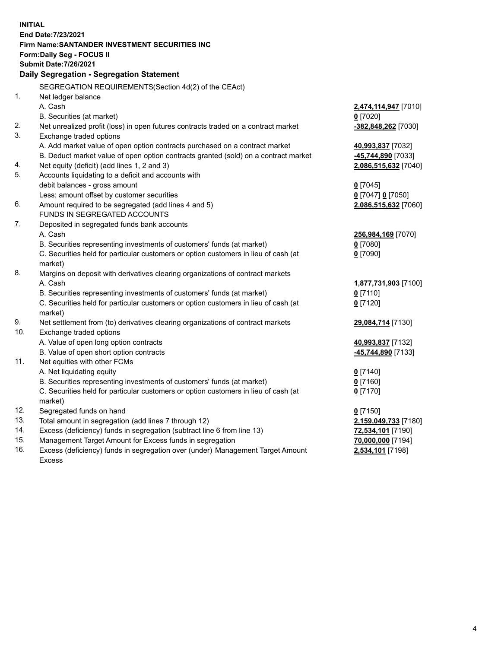| <b>INITIAL</b> |                                                                                                 |                      |  |  |  |
|----------------|-------------------------------------------------------------------------------------------------|----------------------|--|--|--|
|                | End Date: 7/23/2021                                                                             |                      |  |  |  |
|                | <b>Firm Name: SANTANDER INVESTMENT SECURITIES INC</b>                                           |                      |  |  |  |
|                | Form: Daily Seg - FOCUS II                                                                      |                      |  |  |  |
|                | <b>Submit Date: 7/26/2021</b>                                                                   |                      |  |  |  |
|                | Daily Segregation - Segregation Statement                                                       |                      |  |  |  |
|                | SEGREGATION REQUIREMENTS(Section 4d(2) of the CEAct)                                            |                      |  |  |  |
| 1.             | Net ledger balance                                                                              |                      |  |  |  |
|                | A. Cash                                                                                         | 2,474,114,947 [7010] |  |  |  |
|                | B. Securities (at market)                                                                       | $0$ [7020]           |  |  |  |
| 2.             | Net unrealized profit (loss) in open futures contracts traded on a contract market              | -382,848,262 [7030]  |  |  |  |
| 3.             | Exchange traded options                                                                         |                      |  |  |  |
|                | A. Add market value of open option contracts purchased on a contract market                     | 40,993,837 [7032]    |  |  |  |
|                | B. Deduct market value of open option contracts granted (sold) on a contract market             | -45,744,890 [7033]   |  |  |  |
| 4.             | Net equity (deficit) (add lines 1, 2 and 3)                                                     | 2,086,515,632 [7040] |  |  |  |
| 5.             | Accounts liquidating to a deficit and accounts with                                             |                      |  |  |  |
|                | debit balances - gross amount                                                                   | $0$ [7045]           |  |  |  |
|                | Less: amount offset by customer securities                                                      | 0 [7047] 0 [7050]    |  |  |  |
| 6.             | Amount required to be segregated (add lines 4 and 5)                                            | 2,086,515,632 [7060] |  |  |  |
|                | FUNDS IN SEGREGATED ACCOUNTS                                                                    |                      |  |  |  |
| 7.             | Deposited in segregated funds bank accounts                                                     |                      |  |  |  |
|                | A. Cash                                                                                         | 256,984,169 [7070]   |  |  |  |
|                | B. Securities representing investments of customers' funds (at market)                          | $0$ [7080]           |  |  |  |
|                | C. Securities held for particular customers or option customers in lieu of cash (at             | $0$ [7090]           |  |  |  |
|                | market)                                                                                         |                      |  |  |  |
| 8.             | Margins on deposit with derivatives clearing organizations of contract markets                  |                      |  |  |  |
|                | A. Cash                                                                                         | 1,877,731,903 [7100] |  |  |  |
|                | B. Securities representing investments of customers' funds (at market)                          | $0$ [7110]           |  |  |  |
|                | C. Securities held for particular customers or option customers in lieu of cash (at             | $0$ [7120]           |  |  |  |
|                | market)                                                                                         |                      |  |  |  |
| 9.             | Net settlement from (to) derivatives clearing organizations of contract markets                 | 29,084,714 [7130]    |  |  |  |
| 10.            | Exchange traded options                                                                         |                      |  |  |  |
|                | A. Value of open long option contracts                                                          | 40,993,837 [7132]    |  |  |  |
|                | B. Value of open short option contracts                                                         | -45,744,890 [7133]   |  |  |  |
| 11.            | Net equities with other FCMs                                                                    |                      |  |  |  |
|                | A. Net liquidating equity                                                                       | $0$ [7140]           |  |  |  |
|                | B. Securities representing investments of customers' funds (at market)                          | $0$ [7160]           |  |  |  |
|                | C. Securities held for particular customers or option customers in lieu of cash (at             | $0$ [7170]           |  |  |  |
|                | market)                                                                                         |                      |  |  |  |
| 12.            | Segregated funds on hand                                                                        | $0$ [7150]           |  |  |  |
| 13.<br>14.     | Total amount in segregation (add lines 7 through 12)                                            | 2,159,049,733 [7180] |  |  |  |
| 15.            | Excess (deficiency) funds in segregation (subtract line 6 from line 13)                         | 72,534,101 [7190]    |  |  |  |
| 16.            | Management Target Amount for Excess funds in segregation                                        | 70,000,000 [7194]    |  |  |  |
|                | Excess (deficiency) funds in segregation over (under) Management Target Amount<br><b>Excess</b> | 2,534,101 [7198]     |  |  |  |
|                |                                                                                                 |                      |  |  |  |